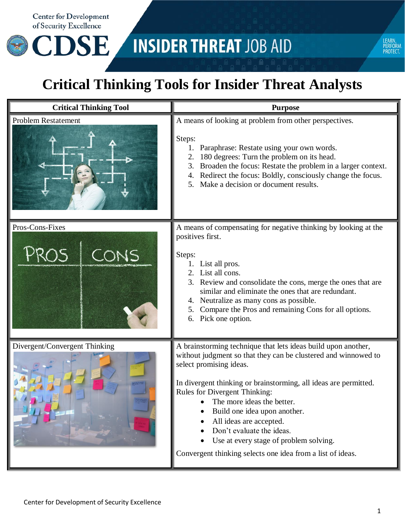**Center for Development** of Security Excellence

**CDSE** 

## **INSIDER THREAT JOB AID**



## **Critical Thinking Tools for Insider Threat Analysts**

| <b>Critical Thinking Tool</b> | <b>Purpose</b>                                                                                                                                                                                                                                                                                                                                                                                                                                                                                       |
|-------------------------------|------------------------------------------------------------------------------------------------------------------------------------------------------------------------------------------------------------------------------------------------------------------------------------------------------------------------------------------------------------------------------------------------------------------------------------------------------------------------------------------------------|
| <b>Problem Restatement</b>    | A means of looking at problem from other perspectives.<br>Steps:<br>Paraphrase: Restate using your own words.<br>1.<br>180 degrees: Turn the problem on its head.<br>2.<br>Broaden the focus: Restate the problem in a larger context.<br>4. Redirect the focus: Boldly, consciously change the focus.<br>Make a decision or document results.                                                                                                                                                       |
| Pros-Cons-Fixes               | A means of compensating for negative thinking by looking at the<br>positives first.<br>Steps:<br>1. List all pros.<br>2. List all cons.<br>3. Review and consolidate the cons, merge the ones that are<br>similar and eliminate the ones that are redundant.<br>4. Neutralize as many cons as possible.<br>Compare the Pros and remaining Cons for all options.<br>6. Pick one option.                                                                                                               |
| Divergent/Convergent Thinking | A brainstorming technique that lets ideas build upon another,<br>without judgment so that they can be clustered and winnowed to<br>select promising ideas.<br>In divergent thinking or brainstorming, all ideas are permitted.<br><b>Rules for Divergent Thinking:</b><br>The more ideas the better.<br>Build one idea upon another.<br>All ideas are accepted.<br>Don't evaluate the ideas.<br>Use at every stage of problem solving.<br>Convergent thinking selects one idea from a list of ideas. |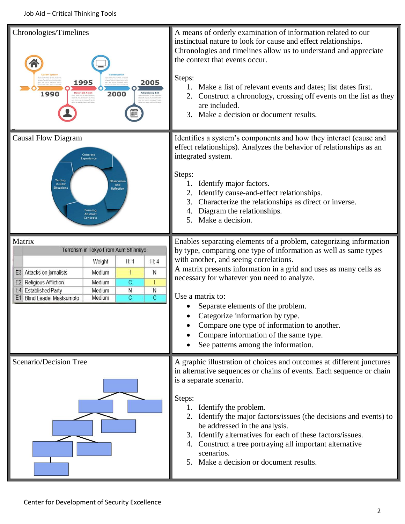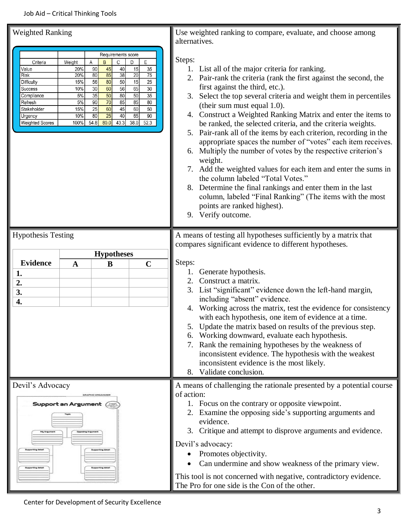## Job Aid – Critical Thinking Tools

| <b>Weighted Ranking</b>                                                                                                                                                                                                                                                                                                                                                                                                                                                                                                                              | Use weighted ranking to compare, evaluate, and choose among                                                                                                                                                                                                                                                                                                                                                                                                                                                                                                                                                                                                                                                                                                                                                                                                                                                       |
|------------------------------------------------------------------------------------------------------------------------------------------------------------------------------------------------------------------------------------------------------------------------------------------------------------------------------------------------------------------------------------------------------------------------------------------------------------------------------------------------------------------------------------------------------|-------------------------------------------------------------------------------------------------------------------------------------------------------------------------------------------------------------------------------------------------------------------------------------------------------------------------------------------------------------------------------------------------------------------------------------------------------------------------------------------------------------------------------------------------------------------------------------------------------------------------------------------------------------------------------------------------------------------------------------------------------------------------------------------------------------------------------------------------------------------------------------------------------------------|
|                                                                                                                                                                                                                                                                                                                                                                                                                                                                                                                                                      | alternatives.                                                                                                                                                                                                                                                                                                                                                                                                                                                                                                                                                                                                                                                                                                                                                                                                                                                                                                     |
| Requirements score<br>Weight<br>B<br>С<br>E<br>Criteria<br>Α<br>D<br>90<br>45<br>40<br>15<br>35<br>Value<br>20%<br>85<br>20<br>20%<br>80<br>38<br>75<br>Risk<br>15<br>80<br>50<br>25<br>56<br>15%<br>Difficulty<br>60<br>65<br>56<br>30<br>30<br>10%<br>Success<br>50<br>35<br>35<br>50<br>80<br>Compliance<br>5%<br>70<br>85<br>85<br>5%<br>90<br>80<br>Refresh<br>60<br>60<br>15%<br>25<br>45<br>50<br>Stakeholder<br>$\overline{25}$<br>65<br>80<br>40<br>90<br>10%<br>Urgency<br>54.8<br>80.0<br>43.3<br>38.0<br>52.3<br>Weighted Scores<br>100% | Steps:<br>1. List all of the major criteria for ranking.<br>2. Pair-rank the criteria (rank the first against the second, the<br>first against the third, etc.).<br>Select the top several criteria and weight them in percentiles<br>3.<br>(their sum must equal 1.0).<br>Construct a Weighted Ranking Matrix and enter the items to<br>4.<br>be ranked, the selected criteria, and the criteria weights.<br>5. Pair-rank all of the items by each criterion, recording in the<br>appropriate spaces the number of "votes" each item receives.<br>6. Multiply the number of votes by the respective criterion's<br>weight.<br>Add the weighted values for each item and enter the sums in<br>the column labeled "Total Votes."<br>8. Determine the final rankings and enter them in the last<br>column, labeled "Final Ranking" (The items with the most<br>points are ranked highest).<br>Verify outcome.<br>9. |
| <b>Hypothesis Testing</b>                                                                                                                                                                                                                                                                                                                                                                                                                                                                                                                            | A means of testing all hypotheses sufficiently by a matrix that                                                                                                                                                                                                                                                                                                                                                                                                                                                                                                                                                                                                                                                                                                                                                                                                                                                   |
|                                                                                                                                                                                                                                                                                                                                                                                                                                                                                                                                                      | compares significant evidence to different hypotheses.                                                                                                                                                                                                                                                                                                                                                                                                                                                                                                                                                                                                                                                                                                                                                                                                                                                            |
| <b>Hypotheses</b><br><b>Evidence</b><br>$\mathbf C$<br>$\mathbf{A}$<br>B<br>1.<br>2.<br>3.<br>4.                                                                                                                                                                                                                                                                                                                                                                                                                                                     | Steps:<br>Generate hypothesis.<br>1.<br>Construct a matrix.<br>2.<br>3.<br>List "significant" evidence down the left-hand margin,<br>including "absent" evidence.<br>Working across the matrix, test the evidence for consistency<br>4.<br>with each hypothesis, one item of evidence at a time.<br>Update the matrix based on results of the previous step.<br>5.<br>Working downward, evaluate each hypothesis.<br>6.<br>Rank the remaining hypotheses by the weakness of<br>inconsistent evidence. The hypothesis with the weakest<br>inconsistent evidence is the most likely.<br>8. Validate conclusion.                                                                                                                                                                                                                                                                                                     |
| Devil's Advocacy<br>GRAPHIC ORGANIZER<br>Support an Argument (<br>My Argi                                                                                                                                                                                                                                                                                                                                                                                                                                                                            | A means of challenging the rationale presented by a potential course<br>of action:<br>1. Focus on the contrary or opposite viewpoint.<br>2. Examine the opposing side's supporting arguments and<br>evidence.<br>Critique and attempt to disprove arguments and evidence.<br>3.<br>Devil's advocacy:<br>Promotes objectivity.<br>٠                                                                                                                                                                                                                                                                                                                                                                                                                                                                                                                                                                                |
|                                                                                                                                                                                                                                                                                                                                                                                                                                                                                                                                                      | Can undermine and show weakness of the primary view.<br>This tool is not concerned with negative, contradictory evidence.<br>The Pro for one side is the Con of the other.                                                                                                                                                                                                                                                                                                                                                                                                                                                                                                                                                                                                                                                                                                                                        |